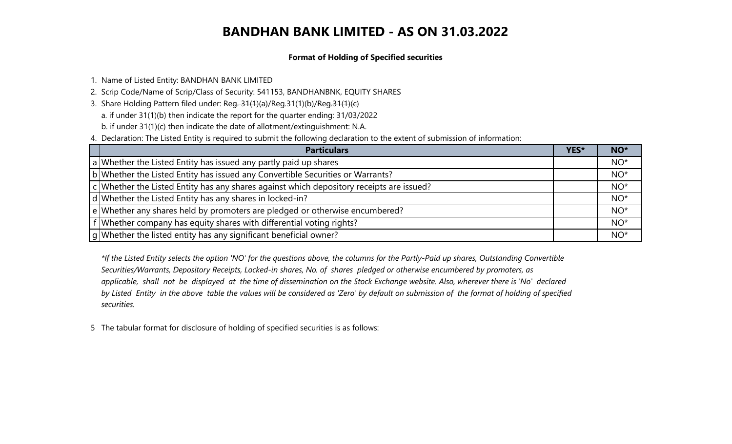#### **Format of Holding of Specified securities**

- 1. Name of Listed Entity: BANDHAN BANK LIMITED
- 2. Scrip Code/Name of Scrip/Class of Security: 541153, BANDHANBNK, EQUITY SHARES
- 3. Share Holding Pattern filed under: Reg. 31(1)(a)/Reg.31(1)(b)/Reg.31(1)(c)
	- a. if under 31(1)(b) then indicate the report for the quarter ending: 31/03/2022
	- b. if under 31(1)(c) then indicate the date of allotment/extinguishment: N.A.
- 4. Declaration: The Listed Entity is required to submit the following declaration to the extent of submission of information:

| <b>Particulars</b>                                                                       | YES* | NO*   |
|------------------------------------------------------------------------------------------|------|-------|
| a Whether the Listed Entity has issued any partly paid up shares                         |      | $NO*$ |
| b Whether the Listed Entity has issued any Convertible Securities or Warrants?           |      | $NO*$ |
| c Whether the Listed Entity has any shares against which depository receipts are issued? |      | $NO*$ |
| d Whether the Listed Entity has any shares in locked-in?                                 |      | $NO*$ |
| e Whether any shares held by promoters are pledged or otherwise encumbered?              |      | $NO*$ |
| f Whether company has equity shares with differential voting rights?                     |      | $NO*$ |
| g Whether the listed entity has any significant beneficial owner?                        |      | $NO*$ |

*\*If the Listed Entity selects the option 'NO' for the questions above, the columns for the Partly-Paid up shares, Outstanding Convertible Securities/Warrants, Depository Receipts, Locked-in shares, No. of shares pledged or otherwise encumbered by promoters, as applicable, shall not be displayed at the time of dissemination on the Stock Exchange website. Also, wherever there is 'No' declared by Listed Entity in the above table the values will be considered as 'Zero' by default on submission of the format of holding of specified securities.*

5 The tabular format for disclosure of holding of specified securities is as follows: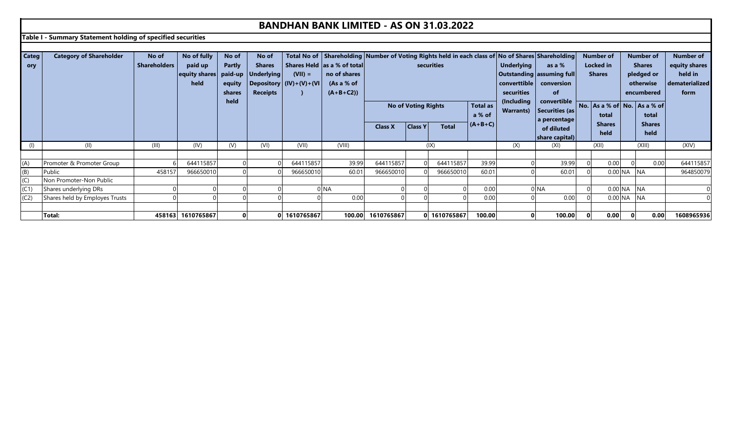**Table I - Summary Statement holding of specified securities**

| Categ | <b>Category of Shareholder</b> | No of               | No of fully       | No of         | No of              |                           | Total No of Shareholding Number of Voting Rights held in each class of No of Shares Shareholding |                |                            |              |                 |                   |                           | <b>Number of</b> |           | <b>Number of</b>                    | <b>Number of</b> |
|-------|--------------------------------|---------------------|-------------------|---------------|--------------------|---------------------------|--------------------------------------------------------------------------------------------------|----------------|----------------------------|--------------|-----------------|-------------------|---------------------------|------------------|-----------|-------------------------------------|------------------|
| ory   |                                | <b>Shareholders</b> | paid up           | <b>Partly</b> | <b>Shares</b>      |                           | Shares Held as a % of total                                                                      |                |                            | securities   |                 | <b>Underlying</b> | as a %                    | <b>Locked</b> in |           | <b>Shares</b>                       | equity shares    |
|       |                                |                     | equity shares     |               | paid-up Underlying | $(VII) =$                 | no of shares                                                                                     |                |                            |              |                 |                   | Outstanding assuming full | <b>Shares</b>    |           | pledged or                          | held in          |
|       |                                |                     | held              | equity        |                    | Depository $(IV)+(V)+(V)$ | (As a % of                                                                                       |                |                            |              |                 | converttible      | conversion                |                  |           | otherwise                           | dematerialized   |
|       |                                |                     |                   | shares        | <b>Receipts</b>    |                           | $(A+B+C2)$                                                                                       |                |                            |              |                 | securities        | <b>of</b>                 |                  |           | encumbered                          | form             |
|       |                                |                     |                   | held          |                    |                           |                                                                                                  |                |                            |              |                 | (Including        | convertible               |                  |           |                                     |                  |
|       |                                |                     |                   |               |                    |                           |                                                                                                  |                | <b>No of Voting Rights</b> |              | <b>Total as</b> | <b>Warrants</b> ) | Securities (as            |                  |           | No. $As a % of   No.   As a % of  $ |                  |
|       |                                |                     |                   |               |                    |                           |                                                                                                  |                |                            |              | a % of          |                   | a percentage              | total            |           | total                               |                  |
|       |                                |                     |                   |               |                    |                           |                                                                                                  | <b>Class X</b> | <b>Class Y</b>             | <b>Total</b> | $(A+B+C)$       |                   | of diluted                | <b>Shares</b>    |           | <b>Shares</b>                       |                  |
|       |                                |                     |                   |               |                    |                           |                                                                                                  |                |                            |              |                 |                   | share capital)            | held             |           | held                                |                  |
|       | (II)                           | (III)               | (IV)              | (V)           | (VI)               | (VII)                     | (VIII)                                                                                           |                |                            | (IX)         |                 | (X)               | (XI)                      | (XII)            |           | (XIII)                              | (XIV)            |
|       |                                |                     |                   |               |                    |                           |                                                                                                  |                |                            |              |                 |                   |                           |                  |           |                                     |                  |
| (A)   | Promoter & Promoter Group      |                     | 644115857         |               |                    | 644115857                 | 39.99                                                                                            | 644115857      |                            | 644115857    | 39.99           |                   | 39.99                     | 0.00             |           | 0.00                                | 644115857        |
| (B)   | Public                         | 458157              | 966650010         |               |                    | 966650010                 | 60.01                                                                                            | 966650010      |                            | 966650010    | 60.01           |                   | 60.01                     |                  | $0.00$ NA | <b>NA</b>                           | 964850079        |
| (C)   | Non Promoter-Non Public        |                     |                   |               |                    |                           |                                                                                                  |                |                            |              |                 |                   |                           |                  |           |                                     |                  |
| (C1)  | Shares underlying DRs          |                     |                   |               |                    |                           | 0 NA                                                                                             |                |                            |              | 0.00            |                   | 0 NA                      |                  | 0.00 NA   | <b>NA</b>                           |                  |
| (C2)  | Shares held by Employes Trusts |                     |                   |               |                    |                           | 0.00                                                                                             |                |                            |              | 0.00            |                   | 0.00                      |                  | 0.00 NA   | <b>NA</b>                           |                  |
|       |                                |                     |                   |               |                    |                           |                                                                                                  |                |                            |              |                 |                   |                           |                  |           |                                     |                  |
|       | <b>Total:</b>                  |                     | 458163 1610765867 |               |                    | 0 1610765867              | 100.00                                                                                           | 1610765867     |                            | 0 1610765867 | 100.00          |                   | 100.00                    | 0.00             |           | 0.00                                | 1608965936       |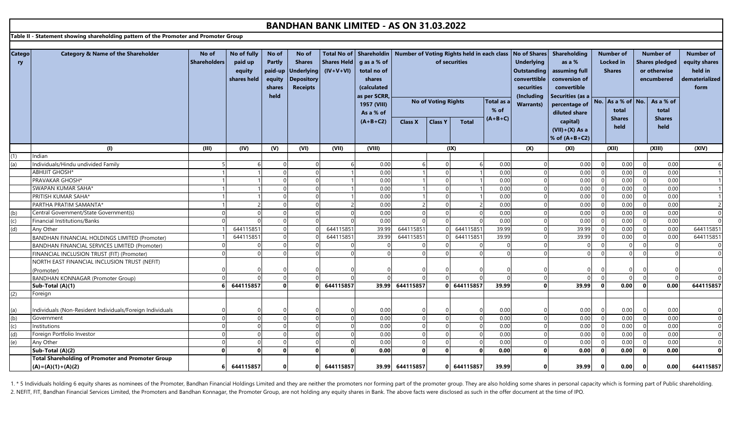**Table II - Statement showing shareholding pattern of the Promoter and Promoter Group**

| <b>Catego</b><br>ry | <b>Category &amp; Name of the Shareholder</b>             | No of<br><b>Shareholders</b> | No of fully<br>paid up | No of<br>Partly  | No of<br><b>Shares</b>               | Shares Held | Total No of   Shareholdin<br>g as a % of |                 | of securities              |              |            | Number of Voting Rights held in each class   No of Shares<br><b>Underlying</b> | <b>Shareholding</b><br>as a % |                | <b>Number of</b><br><b>Locked</b> in |              | <b>Number of</b><br><b>Shares pledged</b> | <b>Number of</b><br>equity shares |
|---------------------|-----------------------------------------------------------|------------------------------|------------------------|------------------|--------------------------------------|-------------|------------------------------------------|-----------------|----------------------------|--------------|------------|--------------------------------------------------------------------------------|-------------------------------|----------------|--------------------------------------|--------------|-------------------------------------------|-----------------------------------|
|                     |                                                           |                              | equity                 | paid-up          | <b>Underlying</b>                    | $(IV+V+VI)$ | total no of                              |                 |                            |              |            | <b>Outstanding</b>                                                             | assuming full                 |                | <b>Shares</b>                        |              | or otherwise                              | held in                           |
|                     |                                                           |                              | shares held            | equity<br>shares | <b>Depository</b><br><b>Receipts</b> |             | shares<br>(calculated                    |                 |                            |              |            | converttible<br>securities                                                     | conversion of<br>convertible  |                |                                      |              | encumbered                                | dematerialized<br>form            |
|                     |                                                           |                              |                        | held             |                                      |             | as per SCRR,                             |                 |                            |              |            | (Including                                                                     | Securities (as a              |                |                                      |              |                                           |                                   |
|                     |                                                           |                              |                        |                  |                                      |             | 1957 (VIII)                              |                 | <b>No of Voting Rights</b> |              | Total as a | <b>Warrants)</b>                                                               | percentage of                 |                | No. As a % of No.                    |              | As a % of                                 |                                   |
|                     |                                                           |                              |                        |                  |                                      |             | As a % of                                |                 |                            |              | $%$ of     |                                                                                | diluted share                 |                | total                                |              | total                                     |                                   |
|                     |                                                           |                              |                        |                  |                                      |             | $(A+B+C2)$                               | <b>Class X</b>  | <b>Class Y</b>             | <b>Total</b> | $(A+B+C)$  |                                                                                | capital)                      |                | <b>Shares</b>                        |              | <b>Shares</b>                             |                                   |
|                     |                                                           |                              |                        |                  |                                      |             |                                          |                 |                            |              |            |                                                                                | $(VII)+(X)$ As a              |                | held                                 |              | held                                      |                                   |
|                     |                                                           |                              |                        |                  |                                      |             |                                          |                 |                            |              |            |                                                                                | % of $(A+B+C2)$               |                |                                      |              |                                           |                                   |
|                     | (1)                                                       | (III)                        | (IV)                   | (V)              | (VI)                                 | (VII)       | (VIII)                                   |                 | (IX)                       |              |            | (X)                                                                            | (XI)                          |                | (XII)                                |              | (XIII)                                    | (XIV)                             |
| (1)                 | ndian                                                     |                              |                        |                  |                                      |             |                                          |                 |                            |              |            |                                                                                |                               |                |                                      |              |                                           |                                   |
| (a)                 | Individuals/Hindu undivided Family                        |                              |                        |                  | $\Omega$                             |             | 0.00                                     |                 |                            |              | 0.00       |                                                                                | 0.00                          | $\overline{0}$ | 0.00                                 | $\mathbf 0$  | 0.00                                      |                                   |
|                     | <b>ABHIJIT GHOSH*</b>                                     |                              |                        |                  | $\overline{0}$                       |             | 0.00                                     |                 |                            |              | 0.00       |                                                                                | 0.00                          | $\overline{0}$ | 0.00                                 | $\Omega$     | 0.00                                      |                                   |
|                     | PRAVAKAR GHOSH*                                           |                              |                        |                  | $\overline{0}$                       |             | 0.00                                     |                 |                            |              | 0.00       |                                                                                | 0.00                          | $\overline{0}$ | 0.00                                 | $\Omega$     | 0.00                                      |                                   |
|                     | SWAPAN KUMAR SAHA*                                        |                              |                        |                  | $\overline{0}$                       |             | 0.00                                     |                 |                            |              | 0.00       |                                                                                | 0.00                          | $\mathbf 0$    | 0.00                                 | $\mathbf 0$  | 0.00                                      |                                   |
|                     | PRITISH KUMAR SAHA*                                       |                              |                        |                  | $\Omega$                             |             | 0.00                                     |                 |                            |              | 0.00       |                                                                                | 0.00                          | $\overline{0}$ | 0.00                                 | $\Omega$     | 0.00                                      |                                   |
|                     | PARTHA PRATIM SAMANTA*                                    |                              |                        |                  | $\Omega$                             |             | 0.00                                     |                 |                            |              | 0.00       |                                                                                | 0.00                          | $\Omega$       | 0.00                                 | $\Omega$     | 0.00                                      |                                   |
| (b)                 | Central Government/State Government(s)                    |                              |                        |                  | $\Omega$                             |             | 0.00                                     |                 |                            |              | 0.00       |                                                                                | 0.00                          | $\Omega$       | 0.00                                 | $\Omega$     | 0.00                                      |                                   |
| (c)                 | Financial Institutions/Banks                              |                              |                        |                  | $\Omega$                             |             | 0.00                                     |                 |                            |              | 0.00       |                                                                                | 0.00                          | $\Omega$       | 0.00                                 | $\Omega$     | 0.00                                      |                                   |
| (d)                 | Any Other                                                 |                              | 644115851              |                  |                                      | 644115851   | 39.99                                    | 644115851       |                            | 644115851    | 39.99      |                                                                                | 39.99                         | $\Omega$       | 0.00                                 |              | 0.00                                      | 644115851                         |
|                     | BANDHAN FINANCIAL HOLDINGS LIMITED (Promoter)             |                              | 644115851              |                  |                                      | 644115851   | 39.99                                    | 644115851       |                            | 644115851    | 39.99      |                                                                                | 39.99                         | $\overline{0}$ | 0.00                                 | $\Omega$     | 0.00                                      | 644115851                         |
|                     | BANDHAN FINANCIAL SERVICES LIMITED (Promoter)             |                              |                        |                  | $\Omega$                             |             |                                          |                 |                            |              | $\Omega$   |                                                                                |                               | $\Omega$       |                                      | $\Omega$     |                                           | $\Omega$                          |
|                     | FINANCIAL INCLUSION TRUST (FIT) (Promoter)                |                              | $\cap$                 |                  | $\Omega$                             |             |                                          |                 |                            |              |            |                                                                                |                               | $\Omega$       |                                      | $\Omega$     |                                           | $\Omega$                          |
|                     | NORTH EAST FINANCIAL INCLUSION TRUST (NEFIT)              |                              |                        |                  |                                      |             |                                          |                 |                            |              |            |                                                                                |                               |                |                                      |              |                                           |                                   |
|                     | (Promoter)                                                |                              |                        |                  |                                      |             |                                          |                 |                            |              |            |                                                                                |                               |                |                                      |              |                                           |                                   |
|                     | <b>BANDHAN KONNAGAR (Promoter Group)</b>                  | $\Omega$                     |                        |                  | $\Omega$                             |             |                                          |                 |                            |              | $\Omega$   | $\Omega$                                                                       |                               | $\Omega$       |                                      | $\Omega$     |                                           |                                   |
|                     | Sub-Total (A)(1)                                          |                              | 644115857              | 0                | $\Omega$                             | 644115857   | 39.99                                    | 644115857       |                            | 0 644115857  | 39.99      | $\Omega$                                                                       | 39.99                         | - O            | 0.00                                 | $\mathbf{0}$ | 0.00                                      | 644115857                         |
| (2)                 | Foreign                                                   |                              |                        |                  |                                      |             |                                          |                 |                            |              |            |                                                                                |                               |                |                                      |              |                                           |                                   |
|                     |                                                           |                              |                        |                  |                                      |             |                                          |                 |                            |              |            |                                                                                |                               |                |                                      |              |                                           |                                   |
| (a)                 | Individuals (Non-Resident Individuals/Foreign Individuals |                              |                        |                  |                                      |             | 0.00                                     |                 |                            |              | 0.00       |                                                                                | 0.00                          |                | 0.00                                 | $\Omega$     | 0.00                                      |                                   |
| (b)                 | Government                                                | $\Omega$                     | $\Omega$               |                  | $\Omega$                             |             | 0.00                                     |                 |                            |              | 0.00       |                                                                                | 0.00                          | $\Omega$       | 0.00                                 | $\Omega$     | 0.00                                      |                                   |
| (c)                 | Institutions                                              | $\Omega$                     | $\Omega$               |                  | $\overline{0}$                       |             | 0.00                                     |                 |                            |              | 0.00       | $\Omega$                                                                       | 0.00                          | $\overline{0}$ | 0.00                                 | $\Omega$     | 0.00                                      |                                   |
| (d)                 | Foreign Portfolio Investor                                | $\Omega$                     | $\Omega$               |                  | $\overline{0}$                       |             | 0.00                                     |                 |                            |              | 0.00       |                                                                                | 0.00                          | $\Omega$       | 0.00                                 |              | 0.00                                      | $\Omega$                          |
| (e)                 | Any Other                                                 | $\Omega$                     | $\mathbf 0$            |                  | $\overline{0}$                       |             | 0.00                                     |                 |                            |              | 0.00       |                                                                                | 0.00                          | $\Omega$       | 0.00                                 |              | 0.00                                      |                                   |
|                     | Sub-Total (A)(2)                                          | $\mathbf{0}$                 | $\Omega$               | 0                | $\Omega$                             |             | 0.00                                     | $\Omega$        |                            | - 0          | 0.00       | $\Omega$                                                                       | 0.00                          | $\Omega$       | 0.00                                 | $\mathbf 0$  | 0.00                                      | $\Omega$                          |
|                     | <b>Total Shareholding of Promoter and Promoter Group</b>  |                              |                        |                  |                                      |             |                                          |                 |                            |              |            |                                                                                |                               |                |                                      |              |                                           |                                   |
|                     | $(A) = (A)(1) + (A)(2)$                                   |                              | 644115857              | $\Omega$         | $\Omega$                             | 644115857   |                                          | 39.99 644115857 |                            | 0 644115857  | 39.99      | $\Omega$                                                                       | 39.99                         | $\Omega$       | 0.00                                 | $\mathbf{0}$ | 0.00                                      | 644115857                         |

1. \* 5 Individuals holding 6 equity shares as nominees of the Promoter, Bandhan Financial Holdings Limited and they are neither the promoters nor forming part of the promoter group. They are also holding some shares in per 2. NEFIT, FIT, Bandhan Financial Services Limited, the Promoters and Bandhan Konnagar, the Promoter Group, are not holding any equity shares in Bank. The above facts were disclosed as such in the offer document at the time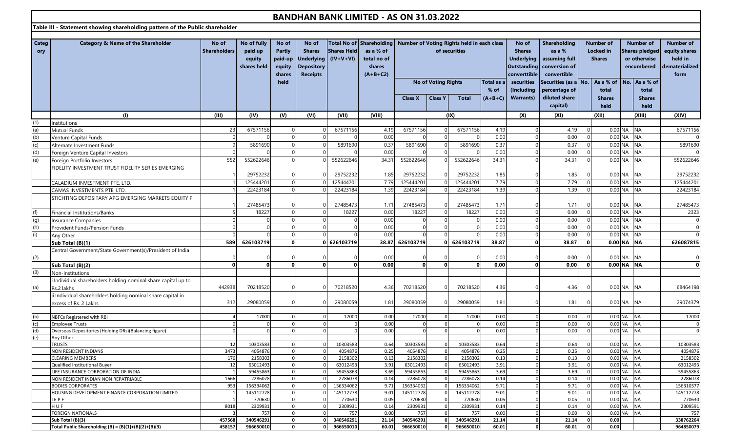**Table III - Statement showing shareholding pattern of the Public shareholder**

| Categ<br>ory | Category & Name of the Shareholder                            | No of<br><b>Shareholders</b> | No of fully<br>paid up<br>equity | No of<br><b>Partly</b><br>paid-up | No of<br><b>Shares</b><br><b>Underlying</b> | <b>Shares Held</b><br>$(IV+V+VI)$ | Total No of Shareholding   Number of Voting Rights held in each class<br>as a % of<br>total no of |                        |                            | of securities                                 |                | No of<br><b>Shares</b><br><b>Underlying</b> | Shareholding<br>as a %<br>assuming full |                              | <b>Number of</b><br><b>Locked</b> in<br><b>Shares</b> | <b>Number of</b><br><b>Shares pledged</b><br>or otherwise | <b>Number of</b><br>equity shares<br>held in |
|--------------|---------------------------------------------------------------|------------------------------|----------------------------------|-----------------------------------|---------------------------------------------|-----------------------------------|---------------------------------------------------------------------------------------------------|------------------------|----------------------------|-----------------------------------------------|----------------|---------------------------------------------|-----------------------------------------|------------------------------|-------------------------------------------------------|-----------------------------------------------------------|----------------------------------------------|
|              |                                                               |                              | shares held                      | equity                            | <b>Depository</b>                           |                                   | shares                                                                                            |                        |                            |                                               |                |                                             | Outstanding conversion of               |                              |                                                       | encumbered                                                | dematerialized                               |
|              |                                                               |                              |                                  | shares                            | <b>Receipts</b>                             |                                   | $(A+B+C2)$                                                                                        |                        |                            |                                               |                | converttible                                | convertible                             |                              |                                                       |                                                           | form                                         |
|              |                                                               |                              |                                  | held                              |                                             |                                   |                                                                                                   |                        | <b>No of Voting Rights</b> |                                               | Total as a     | securities                                  | Securities (as a No.                    |                              | As a % of   No.   As a % of                           |                                                           |                                              |
|              |                                                               |                              |                                  |                                   |                                             |                                   |                                                                                                   |                        |                            |                                               | $%$ of         | (Including                                  | percentage of                           |                              | total                                                 | total                                                     |                                              |
|              |                                                               |                              |                                  |                                   |                                             |                                   |                                                                                                   | <b>Class X</b>         | <b>Class Y</b>             | <b>Total</b>                                  | $(A+B+C)$      | <b>Warrants)</b>                            | diluted share                           |                              | <b>Shares</b>                                         | <b>Shares</b>                                             |                                              |
|              |                                                               |                              |                                  |                                   |                                             |                                   |                                                                                                   |                        |                            |                                               |                |                                             | capital)                                |                              | held                                                  | held                                                      |                                              |
|              | (1)                                                           | (III)                        | (IV)                             | (V)                               | (VI)                                        | (VII)                             | (VIII)                                                                                            |                        |                            | (IX)                                          |                | (X)                                         | (XI)                                    |                              | (XII)                                                 | (XIII)                                                    | (XIV)                                        |
| (1)          | Institutions                                                  |                              |                                  |                                   |                                             |                                   |                                                                                                   |                        |                            |                                               |                |                                             |                                         |                              |                                                       |                                                           |                                              |
| (a)          | <b>Mutual Funds</b>                                           | 23                           | 67571156                         |                                   |                                             | 67571156                          | 4.19                                                                                              | 67571156               |                            | 67571156                                      | 4.19           |                                             | 4.19                                    |                              | $0.00$ NA                                             | <b>NA</b>                                                 | 67571156                                     |
| (b)          | Venture Capital Funds                                         |                              |                                  | $\Omega$                          | $\Omega$                                    |                                   | 0.00                                                                                              |                        | $\Omega$                   |                                               | 0.00           |                                             | 0.00                                    | $\overline{0}$               |                                                       | 0.00 NA NA                                                |                                              |
| (c)          | Alternate Investment Funds                                    |                              | 5891690                          |                                   | $\Omega$                                    | 5891690                           | 0.37                                                                                              | 5891690                |                            | 5891690                                       | 0.37           |                                             | 0.37                                    | $\Omega$                     | 0.00 NA                                               | <b>NA</b>                                                 | 5891690                                      |
| (d)          | Foreign Venture Capital Investors                             |                              |                                  |                                   | $\Omega$                                    |                                   | 0.00                                                                                              |                        |                            |                                               | 0.00           |                                             | 0.00                                    | $\overline{0}$               | $0.00$ NA                                             | <b>NA</b>                                                 |                                              |
| (e)          | Foreign Portfolio Investors                                   | 552                          | 552622646                        | $\Omega$                          | $\Omega$                                    | 552622646                         | 34.31                                                                                             | 552622646              |                            | 552622646                                     | 34.31          |                                             | 34.31                                   | $\Omega$                     |                                                       | $0.00$ NA NA                                              | 552622646                                    |
|              | FIDELITY INVESTMENT TRUST FIDELITY SERIES EMERGING            |                              |                                  |                                   |                                             |                                   |                                                                                                   |                        |                            |                                               |                |                                             |                                         |                              |                                                       |                                                           |                                              |
|              |                                                               |                              | 29752232                         |                                   |                                             | 29752232                          | 1.85                                                                                              | 29752232               |                            | 29752232                                      | 1.85           |                                             | 1.85                                    |                              |                                                       | $0.00$ NA NA                                              | 29752232                                     |
|              | CALADIUM INVESTMENT PTE. LTD.                                 |                              | 125444201                        | $\Omega$                          |                                             | 125444201                         | 7.79                                                                                              | 125444201              |                            | 125444201                                     | 7.79           |                                             | 7.79                                    | $\Omega$                     | 0.00 NA                                               | <b>NA</b>                                                 | 125444201                                    |
|              | CAMAS INVESTMENTS PTE. LTD.                                   |                              | 22423184                         | $\overline{0}$                    | $\Omega$                                    | 22423184                          | 1.39                                                                                              | 22423184               |                            | 22423184                                      | 1.39           |                                             | 1.39                                    | $\overline{0}$               |                                                       | 0.00 NA NA                                                | 22423184                                     |
|              | STICHTING DEPOSITARY APG EMERGING MARKETS EQUITY P            |                              |                                  |                                   |                                             |                                   |                                                                                                   |                        |                            |                                               |                |                                             |                                         |                              |                                                       |                                                           |                                              |
|              |                                                               |                              | 27485473                         |                                   |                                             | 27485473                          | 1.71                                                                                              | 27485473               |                            | 27485473                                      | 1.71           |                                             | 1.71                                    |                              |                                                       | $0.00$ NA NA                                              | 27485473                                     |
|              | Financial Institutions/Banks                                  |                              | 18227                            | $\overline{0}$                    | $\Omega$                                    | 18227                             | 0.00                                                                                              | 18227                  | $\Omega$                   | 18227                                         | 0.00           |                                             | 0.00                                    | $\Omega$                     | $0.00$ NA                                             | <b>NA</b>                                                 | 2323                                         |
| (q)          | <b>Insurance Companies</b>                                    |                              |                                  | $\Omega$                          | $\overline{0}$                              | $\Omega$                          | 0.00                                                                                              |                        | $\Omega$                   |                                               | 0.00           | $\Omega$                                    | 0.00                                    | $\overline{0}$               |                                                       | 0.00 NA NA                                                | $\Omega$                                     |
| (h)          | Provident Funds/Pension Funds                                 |                              |                                  |                                   | $\Omega$                                    |                                   | 0.00                                                                                              |                        |                            |                                               | 0.00           |                                             | 0.00                                    | $\Omega$                     | $0.00$ NA                                             | <b>NA</b>                                                 | $\Omega$                                     |
|              | Any Other                                                     |                              |                                  | $\Omega$                          | $\Omega$                                    |                                   | 0.00                                                                                              |                        | $\Omega$                   |                                               | 0.00           |                                             | 0.00                                    | $\overline{0}$               |                                                       | 0.00 NA NA                                                | $\Omega$                                     |
|              | Sub Total (B)(1)                                              | 589                          | 626103719                        | $\mathbf{0}$                      |                                             | 0 626103719                       | 38.87                                                                                             | 626103719              | $\Omega$                   | 626103719                                     | 38.87          | $\Omega$                                    | 38.87                                   | $\mathbf{0}$                 |                                                       | 0.00 NA NA                                                | 626087815                                    |
|              | Central Government/State Government(s)/President of India     |                              |                                  |                                   |                                             |                                   |                                                                                                   |                        |                            |                                               |                |                                             |                                         |                              |                                                       |                                                           |                                              |
| (2)          |                                                               |                              |                                  |                                   |                                             |                                   | 0.00                                                                                              |                        |                            |                                               | 0.00           |                                             | 0.00                                    |                              |                                                       | 0.00 NA NA                                                | $\Omega$                                     |
|              | Sub Total (B)(2)                                              | $\mathbf{0}$                 | $\mathbf{0}$                     | $\mathbf{0}$                      | $\Omega$                                    | 0                                 | 0.00                                                                                              | 0.                     | $\mathbf{0}$               |                                               | 0.00           | U                                           | 0.00                                    | $\Omega$                     |                                                       | $0.00$ NA NA                                              | $\mathbf{0}$                                 |
| (3)          | Non-Institutions                                              |                              |                                  |                                   |                                             |                                   |                                                                                                   |                        |                            |                                               |                |                                             |                                         |                              |                                                       |                                                           |                                              |
|              | i.Individual shareholders holding nominal share capital up to |                              |                                  |                                   |                                             |                                   |                                                                                                   |                        |                            |                                               |                |                                             |                                         |                              |                                                       |                                                           |                                              |
| (a)          |                                                               | 442938                       | 70218520                         |                                   |                                             | 70218520                          | 4.36                                                                                              | 70218520               |                            | 70218520                                      | 4.36           |                                             | 4.36                                    |                              |                                                       | 0.00 NA NA                                                | 68464198                                     |
|              | Rs.2 lakhs                                                    |                              |                                  |                                   |                                             |                                   |                                                                                                   |                        |                            |                                               |                |                                             |                                         |                              |                                                       |                                                           |                                              |
|              | ii.Individual shareholders holding nominal share capital in   | 312                          | 29080059                         |                                   |                                             | 29080059                          | 1.81                                                                                              | 29080059               |                            | 29080059                                      | 1.81           |                                             | 1.81                                    |                              |                                                       | 0.00 NA NA                                                | 29074379                                     |
|              | excess of Rs. 2 Lakhs                                         |                              |                                  |                                   |                                             |                                   |                                                                                                   |                        |                            |                                               |                |                                             |                                         |                              |                                                       |                                                           |                                              |
| (b)          | NBFCs Registered with RBI                                     |                              | 17000                            |                                   | $\Omega$                                    | 17000                             | 0.00                                                                                              | 17000                  | $\Omega$                   | 17000                                         | 0.00           |                                             | 0.00                                    | $\Omega$                     | $0.00$ NA                                             | <b>NA</b>                                                 | 17000                                        |
| (c)          | <b>Employee Trusts</b>                                        |                              |                                  |                                   |                                             |                                   | 0.00                                                                                              |                        |                            |                                               | 0.00           |                                             | 0.00                                    | $\Omega$                     | $0.00$ NA                                             | <b>NA</b>                                                 |                                              |
| (d)          | Overseas Depositories (Holding DRs)(Balancing figure)         |                              |                                  |                                   | $\Omega$                                    | $\Omega$                          | 0.00                                                                                              |                        | $\Omega$                   |                                               | 0.00           |                                             | 0.00                                    | $\Omega$                     |                                                       | 0.00 NA NA                                                | $\Omega$                                     |
| (e)          | Any Other                                                     |                              |                                  |                                   |                                             |                                   |                                                                                                   |                        |                            |                                               |                |                                             |                                         |                              |                                                       |                                                           |                                              |
|              | <b>TRUSTS</b>                                                 | 12                           | 10303583                         |                                   |                                             | 10303583                          | 0.64                                                                                              | 10303583               | $\Omega$                   | 10303583                                      | 0.64           |                                             | 0.64                                    | $\Omega$                     | $0.00$ NA                                             | <b>NA</b>                                                 | 10303583                                     |
|              | <b>NON RESIDENT INDIANS</b>                                   | 3473                         | 4054876                          | $\overline{0}$                    | $\Omega$                                    | 4054876                           | 0.25                                                                                              | 4054876                | $\overline{0}$             | 4054876                                       | 0.25           | $\Omega$                                    | 0.25                                    | $\mathbf{0}$                 | 0.00 NA                                               | <b>NA</b>                                                 | 4054876                                      |
|              | <b>CLEARING MEMBERS</b>                                       | 176                          | 2158302                          |                                   |                                             | 2158302                           | 0.13                                                                                              | 2158302                |                            | 2158302                                       | 0.13           |                                             | 0.13                                    | $\mathbf 0$                  |                                                       | $0.00$ NA NA                                              | 2158302                                      |
|              | Qualified Institutional Buyer                                 | 12                           | 63012493                         |                                   | $\Omega$                                    | 63012493                          | 3.91                                                                                              | 63012493               | $\Omega$                   | 63012493                                      | 3.91           |                                             | 3.91                                    | $\Omega$                     |                                                       | 0.00 NA NA                                                | 63012493                                     |
|              | LIFE INSURANCE CORPORATION OF INDIA                           |                              | 59455863                         |                                   |                                             | 59455863                          | 3.69                                                                                              | 59455863               | $\Omega$                   | 59455863                                      | 3.69           |                                             | 3.69                                    | $\mathbf 0$                  |                                                       | 0.00 NA NA                                                | 59455863                                     |
|              | NON RESIDENT INDIAN NON REPATRIABLE                           | 1666                         | 2286078                          | $\overline{0}$                    | $\Omega$                                    | 2286078                           | 0.14                                                                                              | 2286078                | $\overline{0}$             | 2286078                                       | 0.14           |                                             | 0.14                                    | $\mathbf 0$                  |                                                       | 0.00 NA NA                                                | 2286078                                      |
|              | <b>BODIES CORPORATES</b>                                      | 953                          | 156334062                        | $\overline{0}$                    | $\overline{0}$                              | 156334062                         | 9.71                                                                                              | 156334062              | $\Omega$                   | 156334062                                     | 9.71           | $\Omega$                                    | 9.71                                    | $\mathbf{0}$                 |                                                       | 0.00 NA NA                                                | 156310377                                    |
|              | HOUSING DEVELOPMENT FINANCE CORPORATION LIMITED               |                              | 145112778                        | $\Omega$                          | $\overline{0}$                              | 145112778                         | 9.01                                                                                              | 145112778              | $\overline{0}$             | 145112778                                     | 9.01           | $\Omega$                                    | 9.01                                    | $\mathbf 0$                  | $0.00$ NA                                             | <b>NA</b>                                                 | 145112778                                    |
|              | IEPF                                                          | $\mathbf{1}$                 | 770630                           | $\overline{0}$                    | $\mathbf{0}$                                | 770630                            | 0.05                                                                                              | 770630                 | $\overline{0}$             | 770630                                        | 0.05           | $\Omega$                                    | 0.05                                    | $\mathbf 0$                  | $0.00$ NA                                             | <b>NA</b>                                                 | 770630                                       |
|              | HUF                                                           | 8018                         | 2309931                          |                                   | $\overline{0}$                              | 2309931                           | 0.14                                                                                              | 2309931                | $\overline{0}$             | 2309931                                       | 0.14           | $\Omega$                                    | 0.14                                    | $\mathbf 0$                  |                                                       | 0.00 NA NA                                                | 2309591                                      |
|              | <b>FOREIGN NATIONALS</b>                                      |                              | 757                              | $\Omega$                          | $\Omega$                                    | 757                               | 0.00                                                                                              | 757                    | $\overline{0}$             | 757                                           | 0.00           |                                             | 0.00                                    | $\mathbf 0$                  |                                                       | 0.00 NA NA                                                | 757                                          |
|              | Sub Total (B)(3)                                              | 457568<br>458157             | 340546291<br>966650010           | οl<br>0l                          | 0<br>0                                      | 340546291<br>966650010            | 21.14<br>60.01                                                                                    | 340546291<br>966650010 |                            | $\mathbf{0}$<br>340546291<br>966650010<br>0 I | 21.14<br>60.01 | $\mathbf{0}$<br>$\mathbf{0}$                | 21.14<br>60.01                          | $\mathbf{0}$<br>$\mathbf{o}$ | 0.00<br>0.00                                          |                                                           | 338762264<br>964850079                       |
|              | Total Public Shareholding (B) = $(B)(1)+(B)(2)+(B)(3)$        |                              |                                  |                                   |                                             |                                   |                                                                                                   |                        |                            |                                               |                |                                             |                                         |                              |                                                       |                                                           |                                              |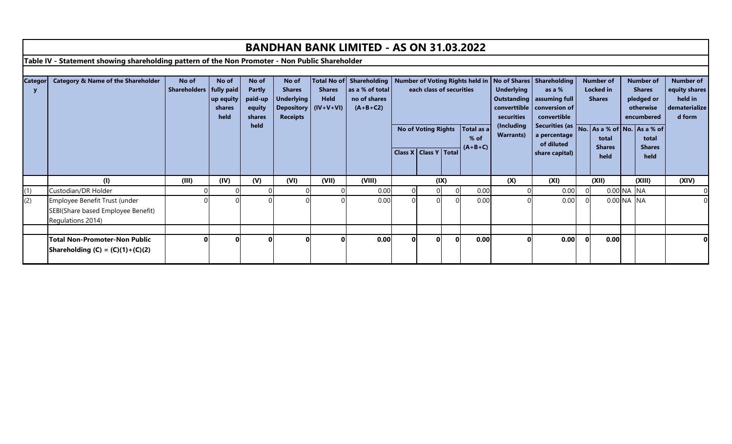|                |                                                                                                |                                    |                                      |                                                               |                                                                |                                                                                                                                   | <b>BANDHAN BANK LIMITED - AS ON 31.03.2022</b> |                                                                                                                                       |      |                                               |                                                                                                                                                                                                                                                                                                       |                  |                                                             |                |                       |            |                       |       |
|----------------|------------------------------------------------------------------------------------------------|------------------------------------|--------------------------------------|---------------------------------------------------------------|----------------------------------------------------------------|-----------------------------------------------------------------------------------------------------------------------------------|------------------------------------------------|---------------------------------------------------------------------------------------------------------------------------------------|------|-----------------------------------------------|-------------------------------------------------------------------------------------------------------------------------------------------------------------------------------------------------------------------------------------------------------------------------------------------------------|------------------|-------------------------------------------------------------|----------------|-----------------------|------------|-----------------------|-------|
|                | Table IV - Statement showing shareholding pattern of the Non Promoter - Non Public Shareholder |                                    |                                      |                                                               |                                                                |                                                                                                                                   |                                                |                                                                                                                                       |      |                                               |                                                                                                                                                                                                                                                                                                       |                  |                                                             |                |                       |            |                       |       |
|                |                                                                                                |                                    |                                      |                                                               |                                                                |                                                                                                                                   |                                                |                                                                                                                                       |      |                                               |                                                                                                                                                                                                                                                                                                       |                  |                                                             |                |                       |            |                       |       |
| <b>Categor</b> | <b>Category &amp; Name of the Shareholder</b>                                                  | No of<br>Shareholders   fully paid | No of<br>up equity<br>shares<br>held | No of<br><b>Partly</b><br>paid-up<br>equity<br>shares<br>held | No of<br><b>Shares</b><br><b>Underlying</b><br><b>Receipts</b> | Total No of Shareholding<br>as a % of total<br><b>Shares</b><br><b>Held</b><br>no of shares<br>Depository (IV+V+VI)<br>$(A+B+C2)$ |                                                | Number of Voting Rights held in   No of Shares   Shareholding<br>each class of securities<br><b>No of Voting Rights</b><br>Total as a |      | <b>Underlying</b><br>securities<br>(Including | <b>Number of</b><br><b>Number of</b><br><b>Number of</b><br>as a %<br><b>Locked</b> in<br>equity shares<br><b>Shares</b><br>held in<br>pledged or<br><b>Shares</b><br>dematerialize<br>otherwise<br>d form<br>convertible<br>encumbered<br>Securities (as No. As a % of No. As a % of<br>a percentage |                  | Outstanding   assuming full<br>converttible   conversion of |                |                       |            |                       |       |
|                |                                                                                                |                                    |                                      |                                                               |                                                                |                                                                                                                                   |                                                |                                                                                                                                       |      |                                               | $%$ of                                                                                                                                                                                                                                                                                                | <b>Warrants)</b> | of diluted                                                  |                | total                 |            | total                 |       |
|                |                                                                                                |                                    |                                      |                                                               |                                                                |                                                                                                                                   |                                                | Class X   Class Y   Total                                                                                                             |      |                                               | $(A+B+C)$                                                                                                                                                                                                                                                                                             |                  | share capital)                                              |                | <b>Shares</b><br>held |            | <b>Shares</b><br>held |       |
|                | (1)                                                                                            | (III)                              | (IV)                                 | (V)                                                           | (VI)                                                           | (VII)                                                                                                                             | (VIII)                                         |                                                                                                                                       | (IX) |                                               |                                                                                                                                                                                                                                                                                                       | (X)              | (XI)                                                        |                | (XII)                 |            | (XIII)                | (XIV) |
| (1)            | Custodian/DR Holder                                                                            |                                    |                                      |                                                               |                                                                |                                                                                                                                   | 0.00                                           | 0                                                                                                                                     |      | $\Omega$                                      | 0.00                                                                                                                                                                                                                                                                                                  |                  | 0.00                                                        | $\overline{0}$ |                       | 0.00 NA NA |                       |       |
| (2)            | Employee Benefit Trust (under<br>SEBI(Share based Employee Benefit)<br>Regulations 2014)       |                                    |                                      |                                                               |                                                                |                                                                                                                                   | 0.00                                           |                                                                                                                                       |      |                                               | 0.00                                                                                                                                                                                                                                                                                                  |                  | 0.00                                                        |                |                       | 0.00 NA NA |                       |       |
|                |                                                                                                |                                    |                                      |                                                               |                                                                |                                                                                                                                   |                                                |                                                                                                                                       |      |                                               |                                                                                                                                                                                                                                                                                                       |                  |                                                             |                |                       |            |                       |       |
|                | <b>Total Non-Promoter-Non Public</b><br><b>Shareholding (C) = (C)(1)+(C)(2)</b>                |                                    |                                      |                                                               | ΩI                                                             |                                                                                                                                   | 0.00                                           | 0l                                                                                                                                    |      | $\mathbf{0}$                                  | 0.00                                                                                                                                                                                                                                                                                                  |                  | 0.00                                                        | $\Omega$       | 0.00                  |            |                       |       |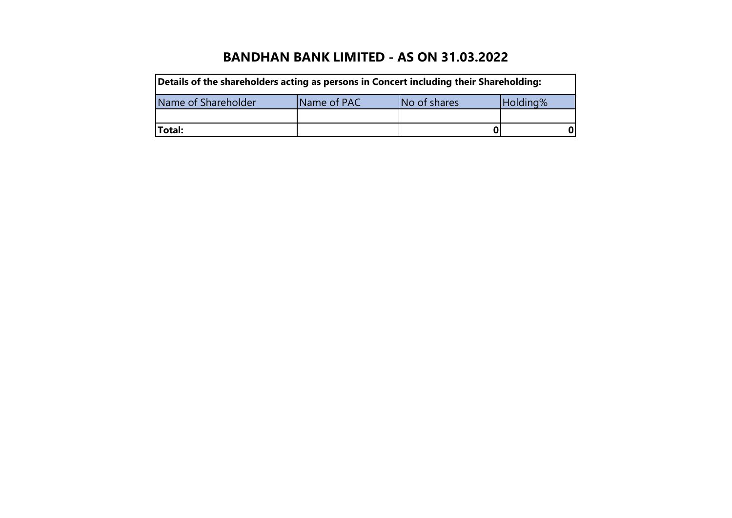| Details of the shareholders acting as persons in Concert including their Shareholding: |             |              |          |
|----------------------------------------------------------------------------------------|-------------|--------------|----------|
| Name of Shareholder                                                                    | Name of PAC | No of shares | Holding% |
|                                                                                        |             |              |          |
| <b>Total:</b>                                                                          |             |              | U        |